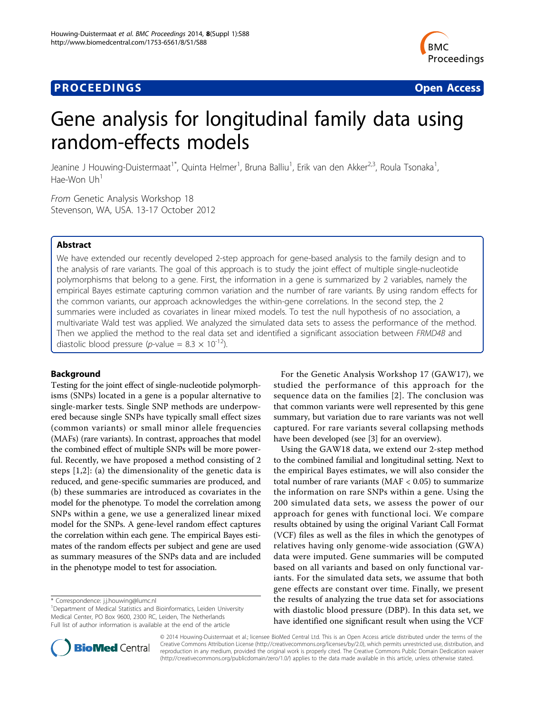# **PROCEEDINGS CONSIDERING S** Open Access **CONSIDERING S**



# Gene analysis for longitudinal family data using random-effects models

Jeanine J Houwing-Duistermaat<sup>1\*</sup>, Quinta Helmer<sup>1</sup>, Bruna Balliu<sup>1</sup>, Erik van den Akker<sup>2,3</sup>, Roula Tsonaka<sup>1</sup> , Hae-Won  $Uh<sup>1</sup>$ 

From Genetic Analysis Workshop 18 Stevenson, WA, USA. 13-17 October 2012

# Abstract

We have extended our recently developed 2-step approach for gene-based analysis to the family design and to the analysis of rare variants. The goal of this approach is to study the joint effect of multiple single-nucleotide polymorphisms that belong to a gene. First, the information in a gene is summarized by 2 variables, namely the empirical Bayes estimate capturing common variation and the number of rare variants. By using random effects for the common variants, our approach acknowledges the within-gene correlations. In the second step, the 2 summaries were included as covariates in linear mixed models. To test the null hypothesis of no association, a multivariate Wald test was applied. We analyzed the simulated data sets to assess the performance of the method. Then we applied the method to the real data set and identified a significant association between FRMD4B and diastolic blood pressure (*p*-value =  $8.3 \times 10^{-12}$ ).

# Background

Testing for the joint effect of single-nucleotide polymorphisms (SNPs) located in a gene is a popular alternative to single-marker tests. Single SNP methods are underpowered because single SNPs have typically small effect sizes (common variants) or small minor allele frequencies (MAFs) (rare variants). In contrast, approaches that model the combined effect of multiple SNPs will be more powerful. Recently, we have proposed a method consisting of 2 steps [\[1](#page-4-0),[2\]](#page-4-0): (a) the dimensionality of the genetic data is reduced, and gene-specific summaries are produced, and (b) these summaries are introduced as covariates in the model for the phenotype. To model the correlation among SNPs within a gene, we use a generalized linear mixed model for the SNPs. A gene-level random effect captures the correlation within each gene. The empirical Bayes estimates of the random effects per subject and gene are used as summary measures of the SNPs data and are included in the phenotype model to test for association.

For the Genetic Analysis Workshop 17 (GAW17), we studied the performance of this approach for the sequence data on the families [[2](#page-4-0)]. The conclusion was that common variants were well represented by this gene summary, but variation due to rare variants was not well captured. For rare variants several collapsing methods have been developed (see [[3\]](#page-4-0) for an overview).

Using the GAW18 data, we extend our 2-step method to the combined familial and longitudinal setting. Next to the empirical Bayes estimates, we will also consider the total number of rare variants ( $MAF < 0.05$ ) to summarize the information on rare SNPs within a gene. Using the 200 simulated data sets, we assess the power of our approach for genes with functional loci. We compare results obtained by using the original Variant Call Format (VCF) files as well as the files in which the genotypes of relatives having only genome-wide association (GWA) data were imputed. Gene summaries will be computed based on all variants and based on only functional variants. For the simulated data sets, we assume that both gene effects are constant over time. Finally, we present the results of analyzing the true data set for associations with diastolic blood pressure (DBP). In this data set, we have identified one significant result when using the VCF



© 2014 Houwing-Duistermaat et al.; licensee BioMed Central Ltd. This is an Open Access article distributed under the terms of the Creative Commons Attribution License (<http://creativecommons.org/licenses/by/2.0>), which permits unrestricted use, distribution, and reproduction in any medium, provided the original work is properly cited. The Creative Commons Public Domain Dedication waiver [\(http://creativecommons.org/publicdomain/zero/1.0/](http://creativecommons.org/publicdomain/zero/1.0/)) applies to the data made available in this article, unless otherwise stated.

<sup>\*</sup> Correspondence: [j.j.houwing@lumc.nl](mailto:j.j.houwing@lumc.nl)

<sup>&</sup>lt;sup>1</sup>Department of Medical Statistics and Bioinformatics, Leiden University Medical Center, PO Box 9600, 2300 RC, Leiden, The Netherlands Full list of author information is available at the end of the article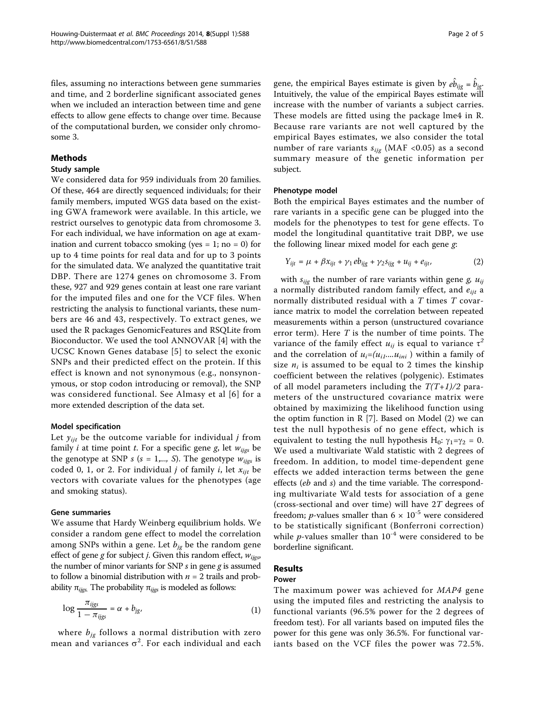files, assuming no interactions between gene summaries and time, and 2 borderline significant associated genes when we included an interaction between time and gene effects to allow gene effects to change over time. Because of the computational burden, we consider only chromosome 3.

# Methods

# Study sample

We considered data for 959 individuals from 20 families. Of these, 464 are directly sequenced individuals; for their family members, imputed WGS data based on the existing GWA framework were available. In this article, we restrict ourselves to genotypic data from chromosome 3. For each individual, we have information on age at examination and current tobacco smoking (yes = 1; no = 0) for up to 4 time points for real data and for up to 3 points for the simulated data. We analyzed the quantitative trait DBP. There are 1274 genes on chromosome 3. From these, 927 and 929 genes contain at least one rare variant for the imputed files and one for the VCF files. When restricting the analysis to functional variants, these numbers are 46 and 43, respectively. To extract genes, we used the R packages GenomicFeatures and RSQLite from Bioconductor. We used the tool ANNOVAR [[4\]](#page-4-0) with the UCSC Known Genes database [[5](#page-4-0)] to select the exonic SNPs and their predicted effect on the protein. If this effect is known and not synonymous (e.g., nonsynonymous, or stop codon introducing or removal), the SNP was considered functional. See Almasy et al [[6](#page-4-0)] for a more extended description of the data set.

# Model specification

Let  $y_{ijt}$  be the outcome variable for individual *j* from family *i* at time point *t*. For a specific gene *g*, let  $w_{ijgs}$  be the genotype at SNP s (s = 1,..., S). The genotype  $w_{ijgs}$  is coded 0, 1, or 2. For individual j of family i, let  $x_{ijt}$  be vectors with covariate values for the phenotypes (age and smoking status).

# Gene summaries

We assume that Hardy Weinberg equilibrium holds. We consider a random gene effect to model the correlation among SNPs within a gene. Let  $b_{jg}$  be the random gene effect of gene g for subject *j*. Given this random effect,  $w_{ijgs}$ the number of minor variants for SNP  $s$  in gene  $g$  is assumed to follow a binomial distribution with  $n = 2$  trails and probability  $\pi_{ijgs}$ . The probability  $\pi_{ijgs}$  is modeled as follows:

$$
\log \frac{\pi_{ijgs}}{1 - \pi_{ijgs}} = \alpha + b_{jg'}
$$
 (1)

where  $b_{jg}$  follows a normal distribution with zero mean and variances  $\sigma^2$ . For each individual and each

gene, the empirical Bayes estimate is given by  $e_{ijg} = b_{jg}$ . Intuitively, the value of the empirical Bayes estimate will increase with the number of variants a subject carries. These models are fitted using the package lme4 in R. Because rare variants are not well captured by the empirical Bayes estimates, we also consider the total number of rare variants  $s_{ijg}$  (MAF <0.05) as a second summary measure of the genetic information per subject.

# Phenotype model

Both the empirical Bayes estimates and the number of rare variants in a specific gene can be plugged into the models for the phenotypes to test for gene effects. To model the longitudinal quantitative trait DBP, we use the following linear mixed model for each gene g:

$$
Y_{ijt} = \mu + \beta x_{ijt} + \gamma_1 e b_{ijg} + \gamma_2 s_{ijg} + u_{ij} + e_{ijt}, \qquad (2)
$$

with  $s_{ijg}$  the number of rare variants within gene g,  $u_{ij}$ a normally distributed random family effect, and  $e_{ijt}$  a normally distributed residual with a  $T$  times  $T$  covariance matrix to model the correlation between repeated measurements within a person (unstructured covariance error term). Here  $T$  is the number of time points. The variance of the family effect  $u_{ij}$  is equal to variance  $\tau^2$ <br>and the correlation of  $u_{ii}$  ( $u_{i+1}$ ) within a family of and the correlation of  $u_i=(u_{i1}...u_{ini})$  within a family of size  $n_i$  is assumed to be equal to 2 times the kinship coefficient between the relatives (polygenic). Estimates of all model parameters including the  $T(T+1)/2$  parameters of the unstructured covariance matrix were obtained by maximizing the likelihood function using the optim function in R [[7](#page-4-0)]. Based on Model (2) we can test the null hypothesis of no gene effect, which is equivalent to testing the null hypothesis H<sub>0</sub>:  $\gamma_1 = \gamma_2 = 0$ . We used a multivariate Wald statistic with 2 degrees of freedom. In addition, to model time-dependent gene effects we added interaction terms between the gene effects (eb and s) and the time variable. The corresponding multivariate Wald tests for association of a gene (cross-sectional and over time) will have 2T degrees of freedom; *p*-values smaller than  $6 \times 10^{-5}$  were considered to be statistically significant (Bonferroni correction) while *p*-values smaller than  $10^{-4}$  were considered to be borderline significant.

# Results

# Power

The maximum power was achieved for MAP4 gene using the imputed files and restricting the analysis to functional variants (96.5% power for the 2 degrees of freedom test). For all variants based on imputed files the power for this gene was only 36.5%. For functional variants based on the VCF files the power was 72.5%.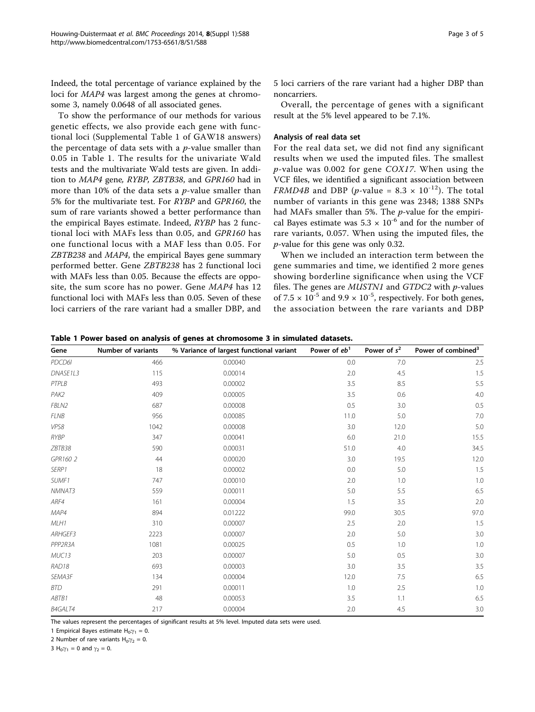Indeed, the total percentage of variance explained by the loci for MAP4 was largest among the genes at chromosome 3, namely 0.0648 of all associated genes.

To show the performance of our methods for various genetic effects, we also provide each gene with functional loci (Supplemental Table 1 of GAW18 answers) the percentage of data sets with a  $p$ -value smaller than 0.05 in Table 1. The results for the univariate Wald tests and the multivariate Wald tests are given. In addition to MAP4 gene, RYBP, ZBTB38, and GPR160 had in more than 10% of the data sets a  $p$ -value smaller than 5% for the multivariate test. For RYBP and GPR160, the sum of rare variants showed a better performance than the empirical Bayes estimate. Indeed, RYBP has 2 functional loci with MAFs less than 0.05, and GPR160 has one functional locus with a MAF less than 0.05. For ZBTB238 and MAP4, the empirical Bayes gene summary performed better. Gene ZBTB238 has 2 functional loci with MAFs less than 0.05. Because the effects are opposite, the sum score has no power. Gene MAP4 has 12 functional loci with MAFs less than 0.05. Seven of these loci carriers of the rare variant had a smaller DBP, and 5 loci carriers of the rare variant had a higher DBP than noncarriers.

Overall, the percentage of genes with a significant result at the 5% level appeared to be 7.1%.

# Analysis of real data set

For the real data set, we did not find any significant results when we used the imputed files. The smallest p-value was 0.002 for gene COX17. When using the VCF files, we identified a significant association between FRMD4B and DBP (p-value = 8.3  $\times$  10<sup>-12</sup>). The total number of variants in this gene was 2348; 1388 SNPs had MAFs smaller than 5%. The  $p$ -value for the empirical Bayes estimate was  $5.3 \times 10^{-6}$  and for the number of rare variants, 0.057. When using the imputed files, the p-value for this gene was only 0.32.

When we included an interaction term between the gene summaries and time, we identified 2 more genes showing borderline significance when using the VCF files. The genes are MUSTN1 and GTDC2 with p-values of 7.5  $\times$  10<sup>-5</sup> and 9.9  $\times$  10<sup>-5</sup>, respectively. For both genes, the association between the rare variants and DBP

Table 1 Power based on analysis of genes at chromosome 3 in simulated datasets.

| Gene        | Number of variants | % Variance of largest functional variant | Power of eb <sup>1</sup> | Power of $s^2$ | Power of combined <sup>3</sup> |
|-------------|--------------------|------------------------------------------|--------------------------|----------------|--------------------------------|
| PDCD6I      | 466                | 0.00040                                  | 0.0                      | 7.0            | 2.5                            |
| DNASE1L3    | 115                | 0.00014                                  | 2.0                      | 4.5            | 1.5                            |
| PTPLB       | 493                | 0.00002                                  | 3.5                      | 8.5            | 5.5                            |
| PAK2        | 409                | 0.00005                                  | 3.5                      | 0.6            | 4.0                            |
| FBLN2       | 687                | 0.00008                                  | 0.5                      | 3.0            | 0.5                            |
| <b>FLNB</b> | 956                | 0.00085                                  | 11.0                     | 5.0            | 7.0                            |
| VPS8        | 1042               | 0.00008                                  | $3.0\,$                  | 12.0           | 5.0                            |
| RYBP        | 347                | 0.00041                                  | 6.0                      | 21.0           | 15.5                           |
| ZBTB38      | 590                | 0.00031                                  | 51.0                     | 4.0            | 34.5                           |
| GPR160 2    | 44                 | 0.00020                                  | 3.0                      | 19.5           | 12.0                           |
| SERP1       | 18                 | 0.00002                                  | $0.0\,$                  | 5.0            | 1.5                            |
| SUMF1       | 747                | 0.00010                                  | $2.0\,$                  | 1.0            | 1.0                            |
| NMNAT3      | 559                | 0.00011                                  | 5.0                      | 5.5            | 6.5                            |
| ARF4        | 161                | 0.00004                                  | 1.5                      | 3.5            | 2.0                            |
| MAP4        | 894                | 0.01222                                  | 99.0                     | 30.5           | 97.0                           |
| MLH1        | 310                | 0.00007                                  | 2.5                      | 2.0            | 1.5                            |
| ARHGEF3     | 2223               | 0.00007                                  | 2.0                      | 5.0            | 3.0                            |
| PPP2R3A     | 1081               | 0.00025                                  | 0.5                      | 1.0            | 1.0                            |
| MUC13       | 203                | 0.00007                                  | 5.0                      | 0.5            | 3.0                            |
| RAD18       | 693                | 0.00003                                  | 3.0                      | 3.5            | 3.5                            |
| SEMA3F      | 134                | 0.00004                                  | 12.0                     | 7.5            | 6.5                            |
| <b>BTD</b>  | 291                | 0.00011                                  | 1.0                      | 2.5            | 1.0                            |
| ABTB1       | 48                 | 0.00053                                  | 3.5                      | 1.1            | 6.5                            |
| B4GALT4     | 217                | 0.00004                                  | $2.0\,$                  | 4.5            | 3.0                            |

The values represent the percentages of significant results at 5% level. Imputed data sets were used.

1 Empirical Bayes estimate  $H_0$ : $\gamma_1 = 0$ .

2 Number of rare variants  $H_0: \gamma_2 = 0$ .

3 H<sub>0</sub>: $v_1 = 0$  and  $v_2 = 0$ .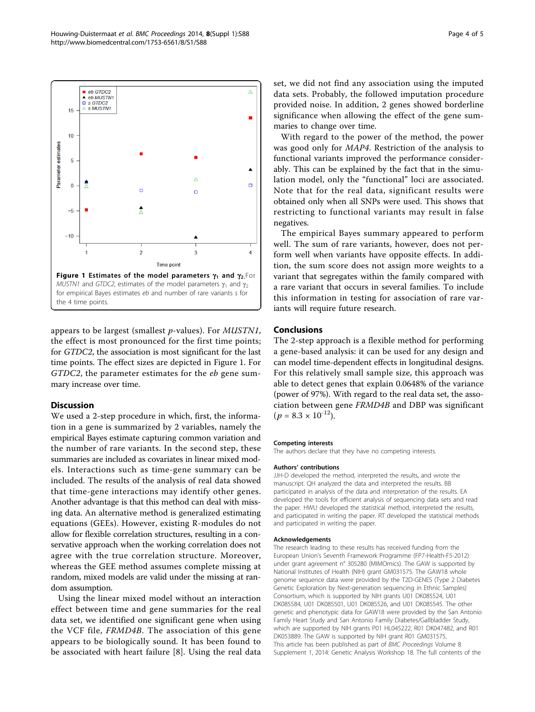appears to be largest (smallest  $p$ -values). For  $MUSTNI$ , the effect is most pronounced for the first time points; for GTDC2, the association is most significant for the last time points. The effect sizes are depicted in Figure 1. For GTDC2, the parameter estimates for the eb gene summary increase over time.

# **Discussion**

We used a 2-step procedure in which, first, the information in a gene is summarized by 2 variables, namely the empirical Bayes estimate capturing common variation and the number of rare variants. In the second step, these summaries are included as covariates in linear mixed models. Interactions such as time-gene summary can be included. The results of the analysis of real data showed that time-gene interactions may identify other genes. Another advantage is that this method can deal with missing data. An alternative method is generalized estimating equations (GEEs). However, existing R-modules do not allow for flexible correlation structures, resulting in a conservative approach when the working correlation does not agree with the true correlation structure. Moreover, whereas the GEE method assumes complete missing at random, mixed models are valid under the missing at random assumption.

Using the linear mixed model without an interaction effect between time and gene summaries for the real data set, we identified one significant gene when using the VCF file, FRMD4B. The association of this gene appears to be biologically sound. It has been found to be associated with heart failure [[8\]](#page-4-0). Using the real data

set, we did not find any association using the imputed data sets. Probably, the followed imputation procedure provided noise. In addition, 2 genes showed borderline significance when allowing the effect of the gene summaries to change over time.

With regard to the power of the method, the power was good only for MAP4. Restriction of the analysis to functional variants improved the performance considerably. This can be explained by the fact that in the simulation model, only the "functional" loci are associated. Note that for the real data, significant results were obtained only when all SNPs were used. This shows that restricting to functional variants may result in false negatives.

The empirical Bayes summary appeared to perform well. The sum of rare variants, however, does not perform well when variants have opposite effects. In addition, the sum score does not assign more weights to a variant that segregates within the family compared with a rare variant that occurs in several families. To include this information in testing for association of rare variants will require future research.

# Conclusions

The 2-step approach is a flexible method for performing a gene-based analysis: it can be used for any design and can model time-dependent effects in longitudinal designs. For this relatively small sample size, this approach was able to detect genes that explain 0.0648% of the variance (power of 97%). With regard to the real data set, the association between gene FRMD4B and DBP was significant  $(p = 8.3 \times 10^{-12}).$ 

#### Competing interests

The authors declare that they have no competing interests.

#### Authors' contributions

JJH-D developed the method, interpreted the results, and wrote the manuscript. QH analyzed the data and interpreted the results. BB participated in analysis of the data and interpretation of the results. EA developed the tools for efficient analysis of sequencing data sets and read the paper. HWU developed the statistical method, interpreted the results, and participated in writing the paper. RT developed the statistical methods and participated in writing the paper.

#### Acknowledgements

The research leading to these results has received funding from the European Union's Seventh Framework Programme (FP7-Health-F5-2012) under grant agreement n° 305280 (MIMOmics). The GAW is supported by National Institutes of Health (NIH) grant GM031575. The GAW18 whole genome sequence data were provided by the T2D-GENES (Type 2 Diabetes Genetic Exploration by Next-generation sequencing in Ethnic Samples) Consortium, which is supported by NIH grants U01 DK085524, U01 DK085584, U01 DK085501, U01 DK085526, and U01 DK085545. The other genetic and phenotypic data for GAW18 were provided by the San Antonio Family Heart Study and San Antonio Family Diabetes/Gallbladder Study, which are supported by NIH grants P01 HL045222, R01 DK047482, and R01 DK053889. The GAW is supported by NIH grant R01 GM031575. This article has been published as part of BMC Proceedings Volume 8 Supplement 1, 2014: Genetic Analysis Workshop 18. The full contents of the